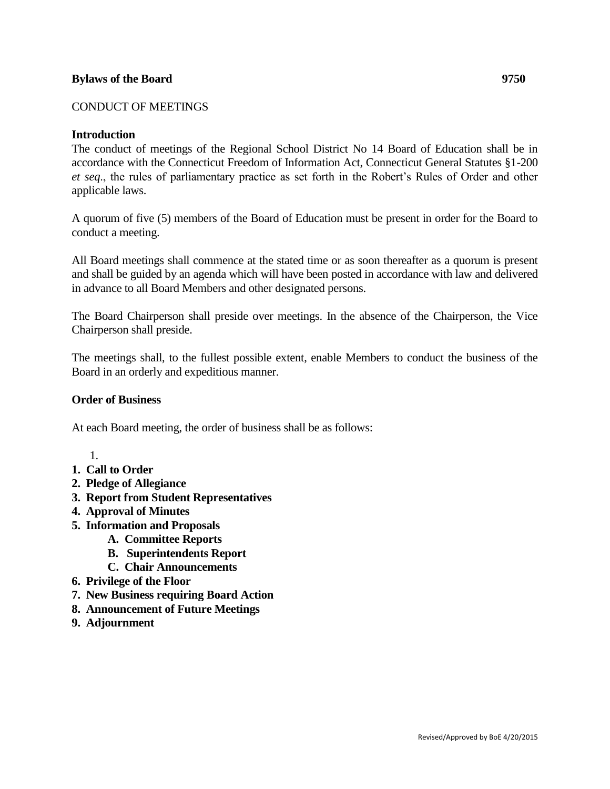## **Bylaws of the Board 9750**

## CONDUCT OF MEETINGS

### **Introduction**

The conduct of meetings of the Regional School District No 14 Board of Education shall be in accordance with the Connecticut Freedom of Information Act, Connecticut General Statutes §1-200 *et seq*., the rules of parliamentary practice as set forth in the Robert's Rules of Order and other applicable laws.

A quorum of five (5) members of the Board of Education must be present in order for the Board to conduct a meeting.

All Board meetings shall commence at the stated time or as soon thereafter as a quorum is present and shall be guided by an agenda which will have been posted in accordance with law and delivered in advance to all Board Members and other designated persons.

The Board Chairperson shall preside over meetings. In the absence of the Chairperson, the Vice Chairperson shall preside.

The meetings shall, to the fullest possible extent, enable Members to conduct the business of the Board in an orderly and expeditious manner.

### **Order of Business**

At each Board meeting, the order of business shall be as follows:

- 1.
- **1. Call to Order**
- **2. Pledge of Allegiance**
- **3. Report from Student Representatives**
- **4. Approval of Minutes**
- **5. Information and Proposals**
	- **A. Committee Reports**
	- **B. Superintendents Report**
	- **C. Chair Announcements**
- **6. Privilege of the Floor**
- **7. New Business requiring Board Action**
- **8. Announcement of Future Meetings**
- **9. Adjournment**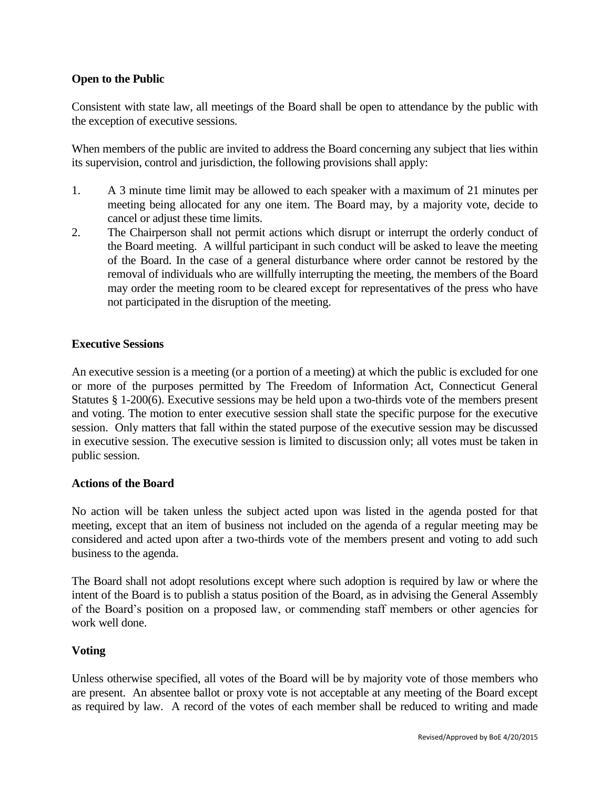# **Open to the Public**

Consistent with state law, all meetings of the Board shall be open to attendance by the public with the exception of executive sessions.

When members of the public are invited to address the Board concerning any subject that lies within its supervision, control and jurisdiction, the following provisions shall apply:

- 1. A 3 minute time limit may be allowed to each speaker with a maximum of 21 minutes per meeting being allocated for any one item. The Board may, by a majority vote, decide to cancel or adjust these time limits.
- 2. The Chairperson shall not permit actions which disrupt or interrupt the orderly conduct of the Board meeting. A willful participant in such conduct will be asked to leave the meeting of the Board. In the case of a general disturbance where order cannot be restored by the removal of individuals who are willfully interrupting the meeting, the members of the Board may order the meeting room to be cleared except for representatives of the press who have not participated in the disruption of the meeting.

## **Executive Sessions**

An executive session is a meeting (or a portion of a meeting) at which the public is excluded for one or more of the purposes permitted by The Freedom of Information Act, Connecticut General Statutes § 1-200(6). Executive sessions may be held upon a two-thirds vote of the members present and voting. The motion to enter executive session shall state the specific purpose for the executive session. Only matters that fall within the stated purpose of the executive session may be discussed in executive session. The executive session is limited to discussion only; all votes must be taken in public session.

### **Actions of the Board**

No action will be taken unless the subject acted upon was listed in the agenda posted for that meeting, except that an item of business not included on the agenda of a regular meeting may be considered and acted upon after a two-thirds vote of the members present and voting to add such business to the agenda.

The Board shall not adopt resolutions except where such adoption is required by law or where the intent of the Board is to publish a status position of the Board, as in advising the General Assembly of the Board's position on a proposed law, or commending staff members or other agencies for work well done.

## **Voting**

Unless otherwise specified, all votes of the Board will be by majority vote of those members who are present. An absentee ballot or proxy vote is not acceptable at any meeting of the Board except as required by law. A record of the votes of each member shall be reduced to writing and made